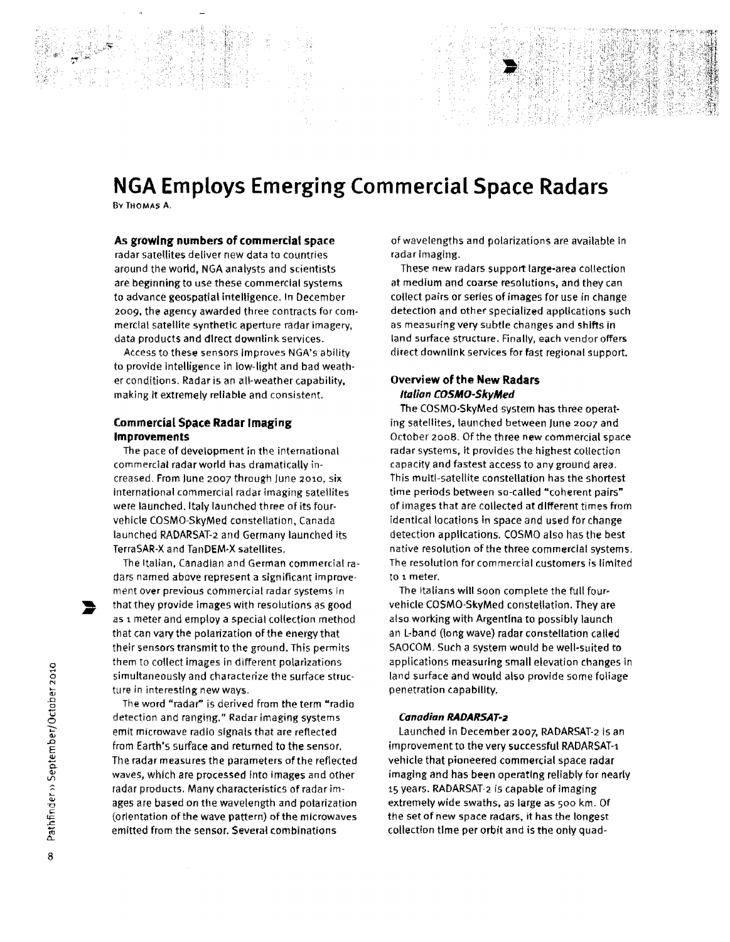# **NGA Employs Emerging Commercial Space Radars**

BvTHOMAS A.

### **As growing numbers of commercial space**

radar satellites deliver new data to countries around the world, NGA analysts and scientists are beginning to use these commercial systems to advance geospatial intelligence. In December 2009, the agency awarded three contracts for commercial satellite synthetic aperture radar imagery, data products and direct downlink services.

Access to these sensors Improves NGA's ability to provide intelligence in low-light and bad weather conditions. Radar is an all-weather capability, making It extremely reliable and consistent.

## **Commercial Space Radar Imaging Improvements**

The pace of development in the international commercial radar world has dramatically increased. From June 2007 through June 20:10, six international commercial radar imaging satellites were launched. Italy launched three of its fourvehicle COSMO-SkyMed constellation, Canada launched RADARSAT-2 and Germany launched its TerraSAR-X and TanDEM·X satellites.

The Italian, Canadian and German commercial radars named above represent a significant improvement over previous commercial radar systems in that they provide images with resolutions as good as 1 meter and employ a special collection method that can vary the polarization of the energy that their sensors transmit to the ground. This permits them to collect images in different polarizations simultaneously and characterize the surface structure in interesting new ways.

The word "radar'' is derived from the term "radio detection and ranging." Radar Imaging systems emit microwave radio signals that are reflected from Earth's surface and returned to the sensor. The radar measures the parameters of the reflected waves, which are processed Into images and other radar products. Many characteristics of radar images are based on the wavelength and polarization (orientation of the wave pattern) of the microwaves emitted from the sensor. Several combinations

of wavelengths and polarizations are available In radar lmagfng.

These new radars support large·area collection at medium and coarse resolutions, and they can collect pairs or series of images for use in change detection and other specialized applications such as measuring very subtle changes and shifts in land surface structure. Finally, each vendor offers direct downlink services for fast regional support.

## **Overview of the New Radars ltolion COSMO·SkyMed**

The COSMO·SkyMed system has three operat· ing satellites, launched between June 2007 and October 2008. Of the three new commercial space radar systems, it provides the highest collection capacity and fastest access to any ground area. This multi-satellite constellation has the shortest time periods between so-called "coherent pairs" of images that are collected at different times from identical locations in space and used for change detection applications. COSMO also has the best native resolution of the three commercial systems. The resolution for commercial customers is limited to *t* meter.

The Italians will soon complete the full four· vehicle COSMO-SkyMed constellation. They are also working with Argentina to possibly launch an L-band (long wave) radar constellation called SAOCOM. Such a system would be well·suited to applications measuring small elevation changes in land surface and would also provide some foliage penetration capability.

#### **Canodian RADARSAT-2**

launched in December 2007, RADARSAT-2 Is an improvement to the very successful RADARSAT-1 vehicle that pioneered commercial space radar imaging and has been operating reliably for nearly 15 years. RADARSAT-2 is capable of imaging extremely wide swaths, as large as soo km. Of the set of new space radars, it has the longest collection time per orbit and is the only quad